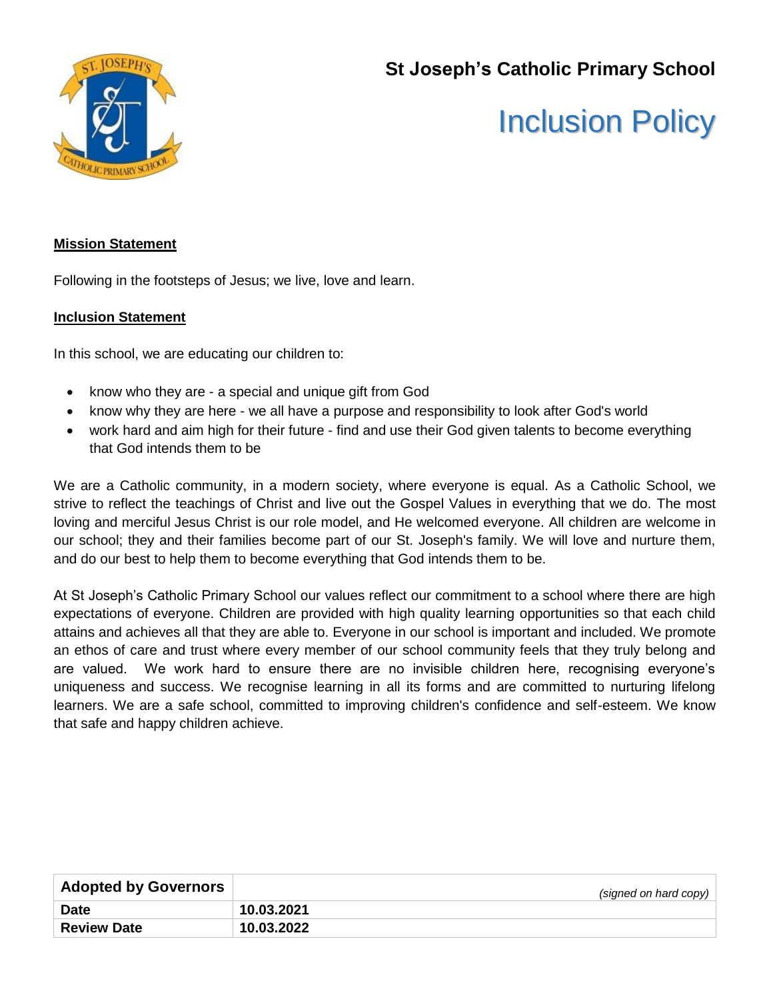**St Joseph's Catholic Primary School**



# Inclusion Policy

## **Mission Statement**

Following in the footsteps of Jesus; we live, love and learn.

#### **Inclusion Statement**

In this school, we are educating our children to:

- know who they are a special and unique gift from God
- know why they are here we all have a purpose and responsibility to look after God's world
- work hard and aim high for their future find and use their God given talents to become everything that God intends them to be

We are a Catholic community, in a modern society, where everyone is equal. As a Catholic School, we strive to reflect the teachings of Christ and live out the Gospel Values in everything that we do. The most loving and merciful Jesus Christ is our role model, and He welcomed everyone. All children are welcome in our school; they and their families become part of our St. Joseph's family. We will love and nurture them, and do our best to help them to become everything that God intends them to be.

At St Joseph's Catholic Primary School our values reflect our commitment to a school where there are high expectations of everyone. Children are provided with high quality learning opportunities so that each child attains and achieves all that they are able to. Everyone in our school is important and included. We promote an ethos of care and trust where every member of our school community feels that they truly belong and are valued. We work hard to ensure there are no invisible children here, recognising everyone's uniqueness and success. We recognise learning in all its forms and are committed to nurturing lifelong learners. We are a safe school, committed to improving children's confidence and self-esteem. We know that safe and happy children achieve.

| <b>Adopted by Governors</b> | (signed on hard copy) |
|-----------------------------|-----------------------|
| <b>Date</b>                 | 10.03.2021            |
| <b>Review Date</b>          | 10.03.2022            |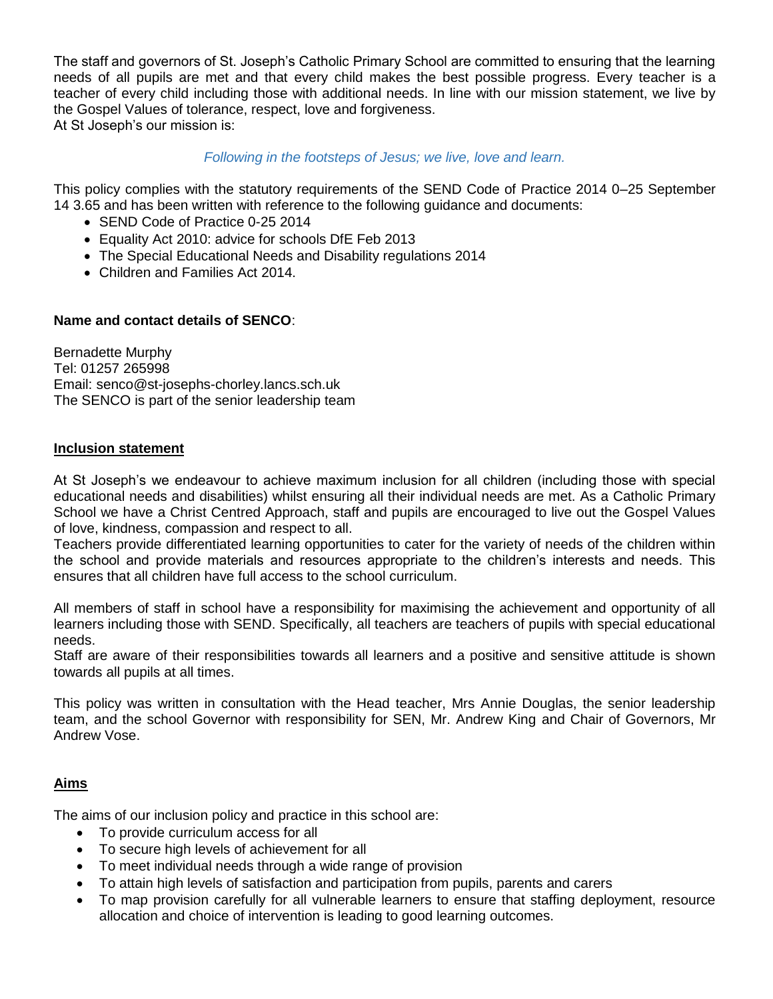The staff and governors of St. Joseph's Catholic Primary School are committed to ensuring that the learning needs of all pupils are met and that every child makes the best possible progress. Every teacher is a teacher of every child including those with additional needs. In line with our mission statement, we live by the Gospel Values of tolerance, respect, love and forgiveness. At St Joseph's our mission is:

#### *Following in the footsteps of Jesus; we live, love and learn.*

This policy complies with the statutory requirements of the SEND Code of Practice 2014 0–25 September 14 3.65 and has been written with reference to the following guidance and documents:

- SEND Code of Practice 0-25 2014
- Equality Act 2010: advice for schools DfE Feb 2013
- The Special Educational Needs and Disability regulations 2014
- Children and Families Act 2014.

#### **Name and contact details of SENCO**:

Bernadette Murphy Tel: 01257 265998 Email: senco@st-josephs-chorley.lancs.sch.uk The SENCO is part of the senior leadership team

#### **Inclusion statement**

At St Joseph's we endeavour to achieve maximum inclusion for all children (including those with special educational needs and disabilities) whilst ensuring all their individual needs are met. As a Catholic Primary School we have a Christ Centred Approach, staff and pupils are encouraged to live out the Gospel Values of love, kindness, compassion and respect to all.

Teachers provide differentiated learning opportunities to cater for the variety of needs of the children within the school and provide materials and resources appropriate to the children's interests and needs. This ensures that all children have full access to the school curriculum.

All members of staff in school have a responsibility for maximising the achievement and opportunity of all learners including those with SEND. Specifically, all teachers are teachers of pupils with special educational needs.

Staff are aware of their responsibilities towards all learners and a positive and sensitive attitude is shown towards all pupils at all times.

This policy was written in consultation with the Head teacher, Mrs Annie Douglas, the senior leadership team, and the school Governor with responsibility for SEN, Mr. Andrew King and Chair of Governors, Mr Andrew Vose.

#### **Aims**

The aims of our inclusion policy and practice in this school are:

- To provide curriculum access for all
- To secure high levels of achievement for all
- To meet individual needs through a wide range of provision
- To attain high levels of satisfaction and participation from pupils, parents and carers
- To map provision carefully for all vulnerable learners to ensure that staffing deployment, resource allocation and choice of intervention is leading to good learning outcomes.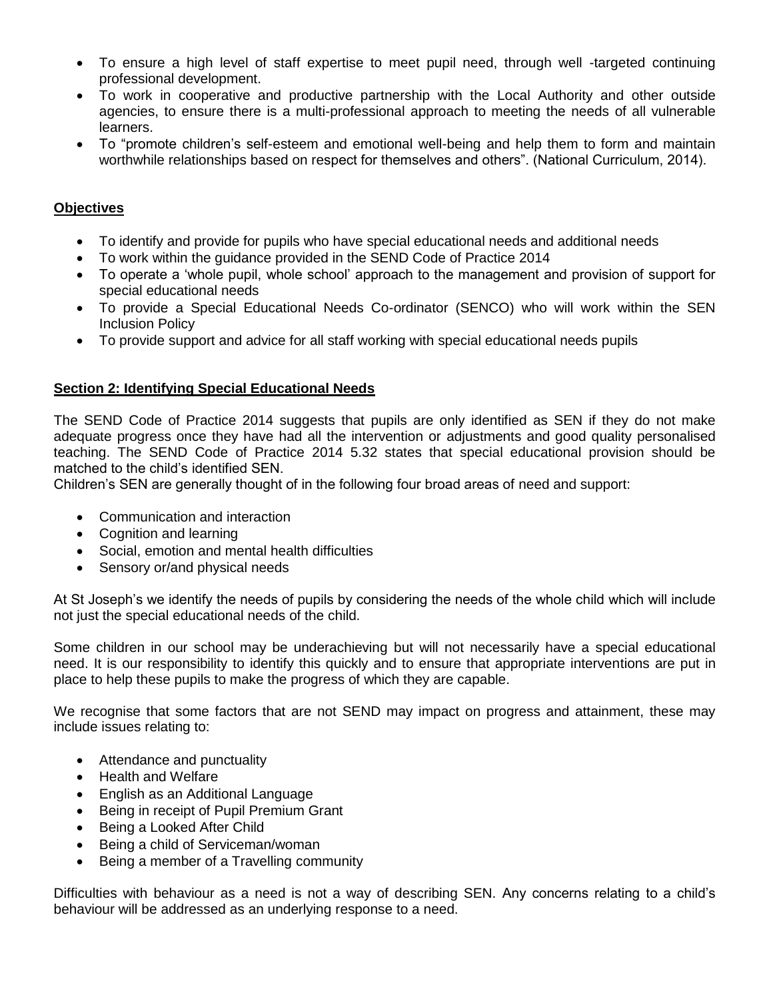- To ensure a high level of staff expertise to meet pupil need, through well -targeted continuing professional development.
- To work in cooperative and productive partnership with the Local Authority and other outside agencies, to ensure there is a multi-professional approach to meeting the needs of all vulnerable learners.
- To "promote children's self-esteem and emotional well-being and help them to form and maintain worthwhile relationships based on respect for themselves and others". (National Curriculum, 2014).

## **Objectives**

- To identify and provide for pupils who have special educational needs and additional needs
- To work within the guidance provided in the SEND Code of Practice 2014
- To operate a 'whole pupil, whole school' approach to the management and provision of support for special educational needs
- To provide a Special Educational Needs Co-ordinator (SENCO) who will work within the SEN Inclusion Policy
- To provide support and advice for all staff working with special educational needs pupils

#### **Section 2: Identifying Special Educational Needs**

The SEND Code of Practice 2014 suggests that pupils are only identified as SEN if they do not make adequate progress once they have had all the intervention or adjustments and good quality personalised teaching. The SEND Code of Practice 2014 5.32 states that special educational provision should be matched to the child's identified SEN.

Children's SEN are generally thought of in the following four broad areas of need and support:

- Communication and interaction
- Cognition and learning
- Social, emotion and mental health difficulties
- Sensory or/and physical needs

At St Joseph's we identify the needs of pupils by considering the needs of the whole child which will include not just the special educational needs of the child.

Some children in our school may be underachieving but will not necessarily have a special educational need. It is our responsibility to identify this quickly and to ensure that appropriate interventions are put in place to help these pupils to make the progress of which they are capable.

We recognise that some factors that are not SEND may impact on progress and attainment, these may include issues relating to:

- Attendance and punctuality
- Health and Welfare
- English as an Additional Language
- Being in receipt of Pupil Premium Grant
- Being a Looked After Child
- Being a child of Serviceman/woman
- Being a member of a Travelling community

Difficulties with behaviour as a need is not a way of describing SEN. Any concerns relating to a child's behaviour will be addressed as an underlying response to a need.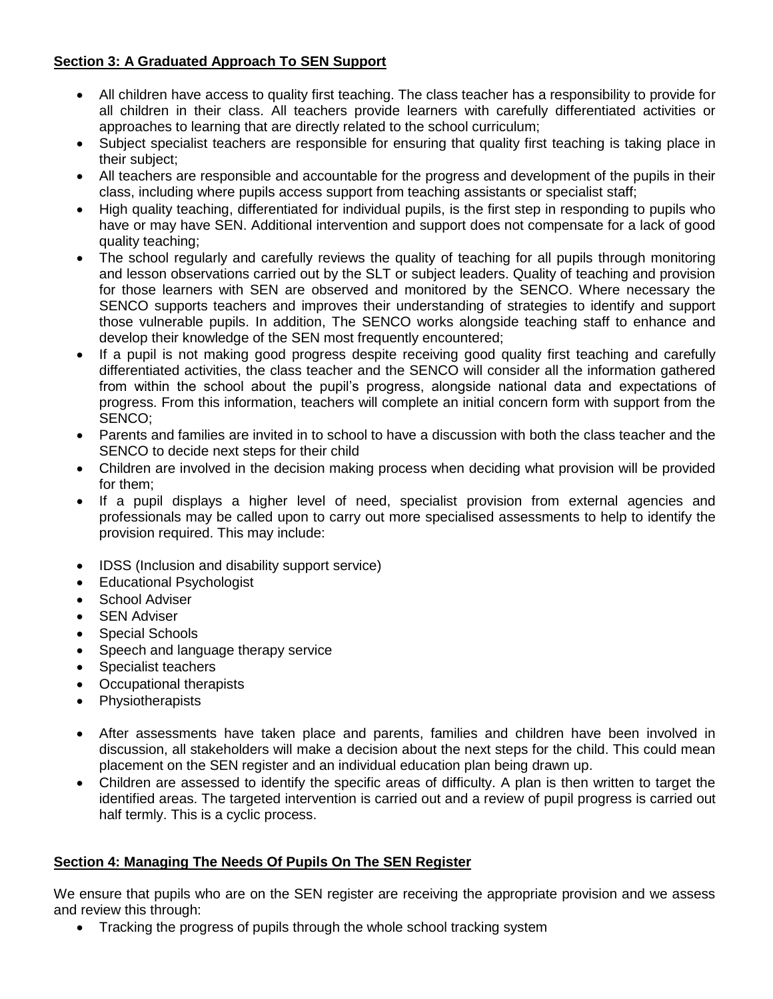## **Section 3: A Graduated Approach To SEN Support**

- All children have access to quality first teaching. The class teacher has a responsibility to provide for all children in their class. All teachers provide learners with carefully differentiated activities or approaches to learning that are directly related to the school curriculum;
- Subject specialist teachers are responsible for ensuring that quality first teaching is taking place in their subject;
- All teachers are responsible and accountable for the progress and development of the pupils in their class, including where pupils access support from teaching assistants or specialist staff;
- High quality teaching, differentiated for individual pupils, is the first step in responding to pupils who have or may have SEN. Additional intervention and support does not compensate for a lack of good quality teaching;
- The school regularly and carefully reviews the quality of teaching for all pupils through monitoring and lesson observations carried out by the SLT or subject leaders. Quality of teaching and provision for those learners with SEN are observed and monitored by the SENCO. Where necessary the SENCO supports teachers and improves their understanding of strategies to identify and support those vulnerable pupils. In addition, The SENCO works alongside teaching staff to enhance and develop their knowledge of the SEN most frequently encountered;
- If a pupil is not making good progress despite receiving good quality first teaching and carefully differentiated activities, the class teacher and the SENCO will consider all the information gathered from within the school about the pupil's progress, alongside national data and expectations of progress. From this information, teachers will complete an initial concern form with support from the SENCO;
- Parents and families are invited in to school to have a discussion with both the class teacher and the SENCO to decide next steps for their child
- Children are involved in the decision making process when deciding what provision will be provided for them;
- If a pupil displays a higher level of need, specialist provision from external agencies and professionals may be called upon to carry out more specialised assessments to help to identify the provision required. This may include:
- IDSS (Inclusion and disability support service)
- **Educational Psychologist**
- School Adviser
- SEN Adviser
- Special Schools
- Speech and language therapy service
- Specialist teachers
- Occupational therapists
- Physiotherapists
- After assessments have taken place and parents, families and children have been involved in discussion, all stakeholders will make a decision about the next steps for the child. This could mean placement on the SEN register and an individual education plan being drawn up.
- Children are assessed to identify the specific areas of difficulty. A plan is then written to target the identified areas. The targeted intervention is carried out and a review of pupil progress is carried out half termly. This is a cyclic process.

#### **Section 4: Managing The Needs Of Pupils On The SEN Register**

We ensure that pupils who are on the SEN register are receiving the appropriate provision and we assess and review this through:

• Tracking the progress of pupils through the whole school tracking system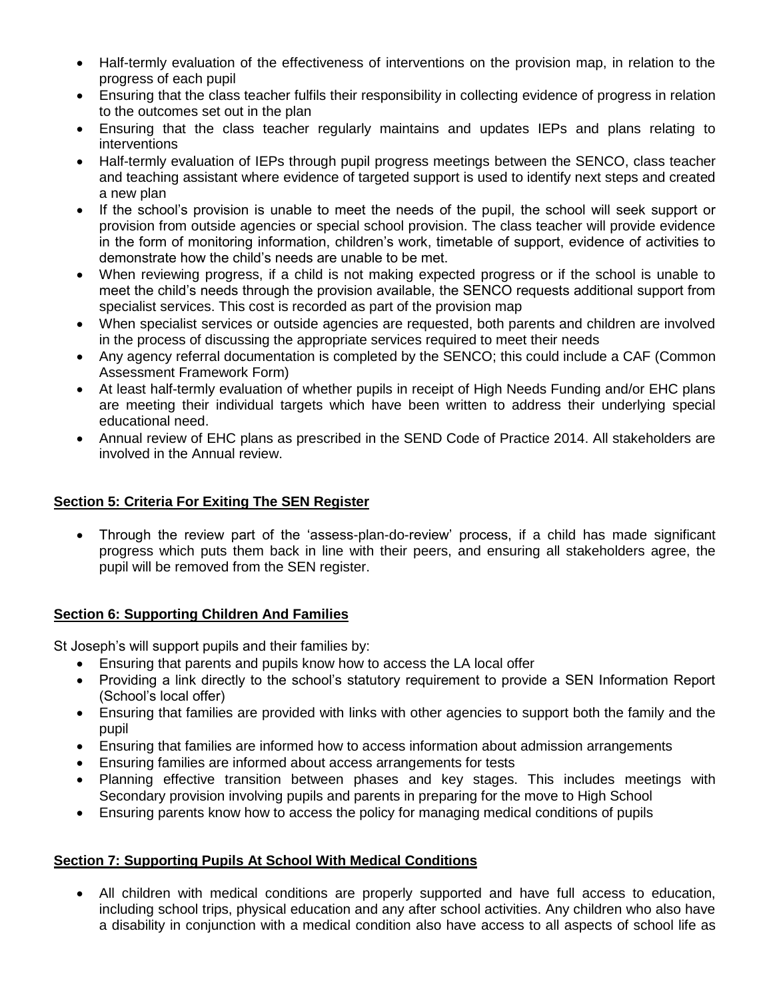- Half-termly evaluation of the effectiveness of interventions on the provision map, in relation to the progress of each pupil
- Ensuring that the class teacher fulfils their responsibility in collecting evidence of progress in relation to the outcomes set out in the plan
- Ensuring that the class teacher regularly maintains and updates IEPs and plans relating to interventions
- Half-termly evaluation of IEPs through pupil progress meetings between the SENCO, class teacher and teaching assistant where evidence of targeted support is used to identify next steps and created a new plan
- If the school's provision is unable to meet the needs of the pupil, the school will seek support or provision from outside agencies or special school provision. The class teacher will provide evidence in the form of monitoring information, children's work, timetable of support, evidence of activities to demonstrate how the child's needs are unable to be met.
- When reviewing progress, if a child is not making expected progress or if the school is unable to meet the child's needs through the provision available, the SENCO requests additional support from specialist services. This cost is recorded as part of the provision map
- When specialist services or outside agencies are requested, both parents and children are involved in the process of discussing the appropriate services required to meet their needs
- Any agency referral documentation is completed by the SENCO; this could include a CAF (Common Assessment Framework Form)
- At least half-termly evaluation of whether pupils in receipt of High Needs Funding and/or EHC plans are meeting their individual targets which have been written to address their underlying special educational need.
- Annual review of EHC plans as prescribed in the SEND Code of Practice 2014. All stakeholders are involved in the Annual review.

## **Section 5: Criteria For Exiting The SEN Register**

 Through the review part of the 'assess-plan-do-review' process, if a child has made significant progress which puts them back in line with their peers, and ensuring all stakeholders agree, the pupil will be removed from the SEN register.

#### **Section 6: Supporting Children And Families**

St Joseph's will support pupils and their families by:

- Ensuring that parents and pupils know how to access the LA local offer
- Providing a link directly to the school's statutory requirement to provide a SEN Information Report (School's local offer)
- Ensuring that families are provided with links with other agencies to support both the family and the pupil
- Ensuring that families are informed how to access information about admission arrangements
- Ensuring families are informed about access arrangements for tests
- Planning effective transition between phases and key stages. This includes meetings with Secondary provision involving pupils and parents in preparing for the move to High School
- Ensuring parents know how to access the policy for managing medical conditions of pupils

## **Section 7: Supporting Pupils At School With Medical Conditions**

 All children with medical conditions are properly supported and have full access to education, including school trips, physical education and any after school activities. Any children who also have a disability in conjunction with a medical condition also have access to all aspects of school life as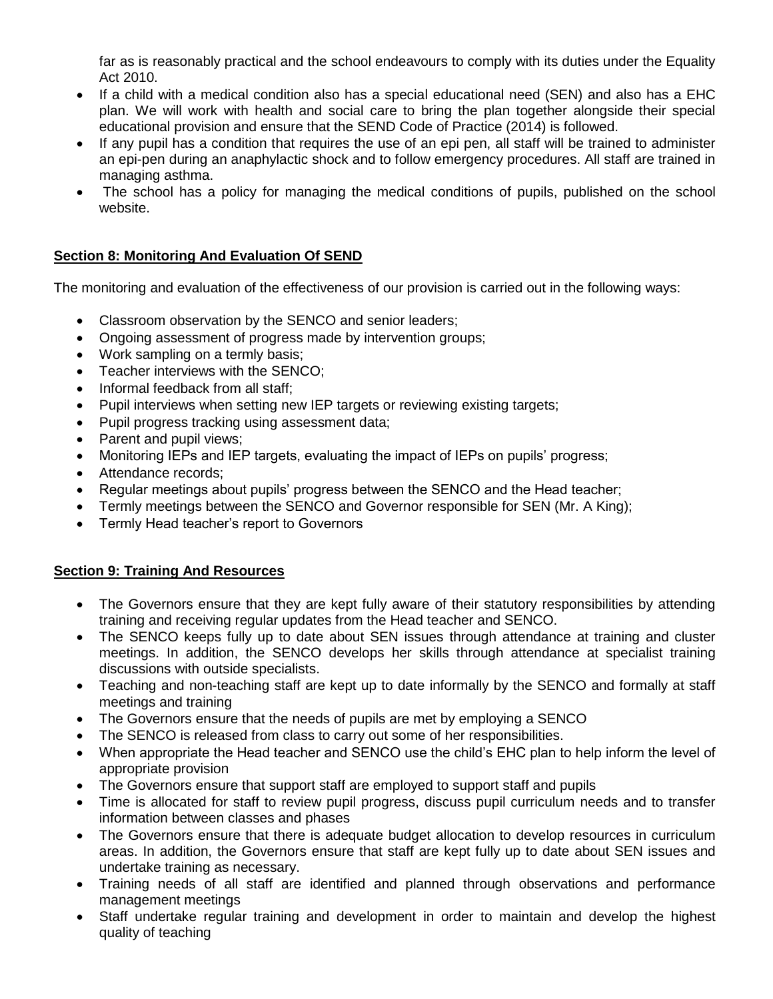far as is reasonably practical and the school endeavours to comply with its duties under the Equality Act 2010.

- If a child with a medical condition also has a special educational need (SEN) and also has a EHC plan. We will work with health and social care to bring the plan together alongside their special educational provision and ensure that the SEND Code of Practice (2014) is followed.
- If any pupil has a condition that requires the use of an epi pen, all staff will be trained to administer an epi-pen during an anaphylactic shock and to follow emergency procedures. All staff are trained in managing asthma.
- The school has a policy for managing the medical conditions of pupils, published on the school website.

## **Section 8: Monitoring And Evaluation Of SEND**

The monitoring and evaluation of the effectiveness of our provision is carried out in the following ways:

- Classroom observation by the SENCO and senior leaders;
- Ongoing assessment of progress made by intervention groups;
- Work sampling on a termly basis;
- Teacher interviews with the SENCO;
- Informal feedback from all staff;
- Pupil interviews when setting new IEP targets or reviewing existing targets;
- Pupil progress tracking using assessment data;
- Parent and pupil views:
- Monitoring IEPs and IEP targets, evaluating the impact of IEPs on pupils' progress;
- Attendance records:
- Regular meetings about pupils' progress between the SENCO and the Head teacher;
- Termly meetings between the SENCO and Governor responsible for SEN (Mr. A King);
- Termly Head teacher's report to Governors

## **Section 9: Training And Resources**

- The Governors ensure that they are kept fully aware of their statutory responsibilities by attending training and receiving regular updates from the Head teacher and SENCO.
- The SENCO keeps fully up to date about SEN issues through attendance at training and cluster meetings. In addition, the SENCO develops her skills through attendance at specialist training discussions with outside specialists.
- Teaching and non-teaching staff are kept up to date informally by the SENCO and formally at staff meetings and training
- The Governors ensure that the needs of pupils are met by employing a SENCO
- The SENCO is released from class to carry out some of her responsibilities.
- When appropriate the Head teacher and SENCO use the child's EHC plan to help inform the level of appropriate provision
- The Governors ensure that support staff are employed to support staff and pupils
- Time is allocated for staff to review pupil progress, discuss pupil curriculum needs and to transfer information between classes and phases
- The Governors ensure that there is adequate budget allocation to develop resources in curriculum areas. In addition, the Governors ensure that staff are kept fully up to date about SEN issues and undertake training as necessary.
- Training needs of all staff are identified and planned through observations and performance management meetings
- Staff undertake regular training and development in order to maintain and develop the highest quality of teaching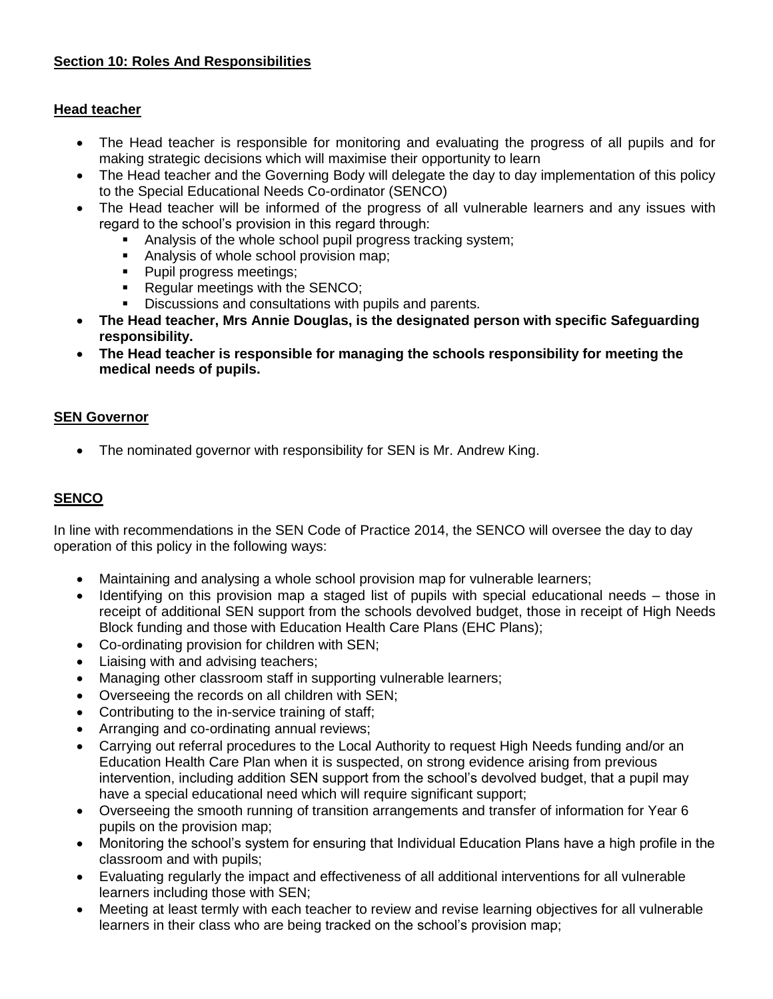## **Section 10: Roles And Responsibilities**

#### **Head teacher**

- The Head teacher is responsible for monitoring and evaluating the progress of all pupils and for making strategic decisions which will maximise their opportunity to learn
- The Head teacher and the Governing Body will delegate the day to day implementation of this policy to the Special Educational Needs Co-ordinator (SENCO)
- The Head teacher will be informed of the progress of all vulnerable learners and any issues with regard to the school's provision in this regard through:
	- Analysis of the whole school pupil progress tracking system;
	- Analysis of whole school provision map;
	- Pupil progress meetings;
	- **Requiar meetings with the SENCO;**
	- Discussions and consultations with pupils and parents.
- **The Head teacher, Mrs Annie Douglas, is the designated person with specific Safeguarding responsibility.**
- **The Head teacher is responsible for managing the schools responsibility for meeting the medical needs of pupils.**

#### **SEN Governor**

• The nominated governor with responsibility for SEN is Mr. Andrew King.

## **SENCO**

In line with recommendations in the SEN Code of Practice 2014, the SENCO will oversee the day to day operation of this policy in the following ways:

- Maintaining and analysing a whole school provision map for vulnerable learners;
- Identifying on this provision map a staged list of pupils with special educational needs those in receipt of additional SEN support from the schools devolved budget, those in receipt of High Needs Block funding and those with Education Health Care Plans (EHC Plans);
- Co-ordinating provision for children with SEN;
- Liaising with and advising teachers;
- Managing other classroom staff in supporting vulnerable learners;
- Overseeing the records on all children with SEN;
- Contributing to the in-service training of staff;
- Arranging and co-ordinating annual reviews;
- Carrying out referral procedures to the Local Authority to request High Needs funding and/or an Education Health Care Plan when it is suspected, on strong evidence arising from previous intervention, including addition SEN support from the school's devolved budget, that a pupil may have a special educational need which will require significant support;
- Overseeing the smooth running of transition arrangements and transfer of information for Year 6 pupils on the provision map;
- Monitoring the school's system for ensuring that Individual Education Plans have a high profile in the classroom and with pupils;
- Evaluating regularly the impact and effectiveness of all additional interventions for all vulnerable learners including those with SEN;
- Meeting at least termly with each teacher to review and revise learning objectives for all vulnerable learners in their class who are being tracked on the school's provision map;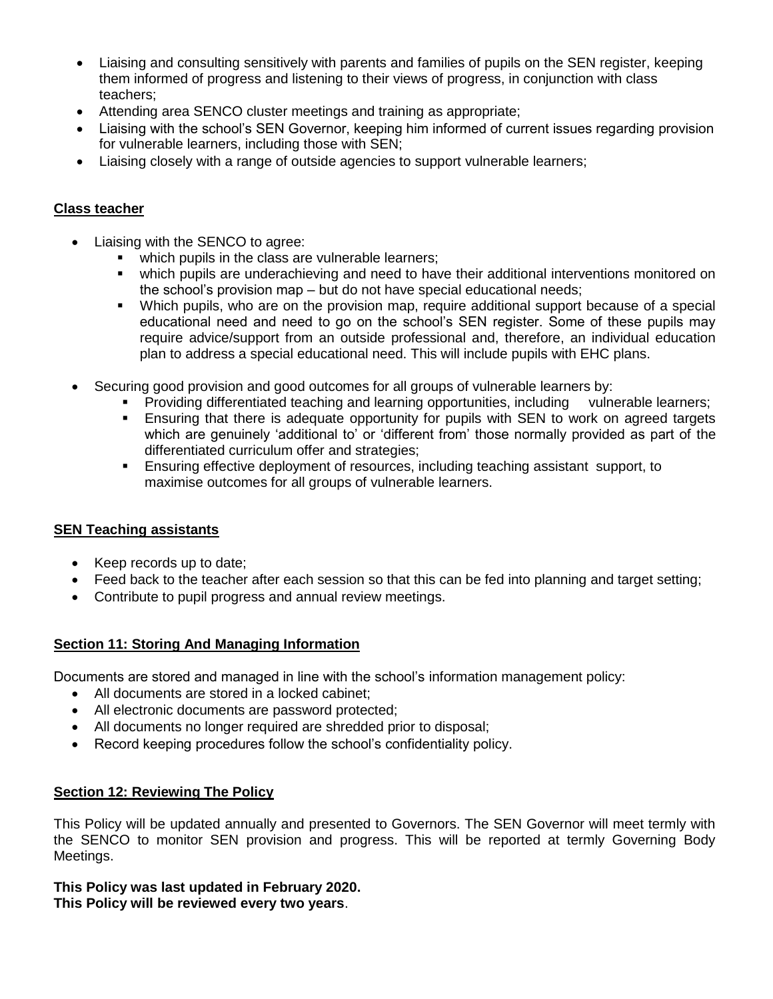- Liaising and consulting sensitively with parents and families of pupils on the SEN register, keeping them informed of progress and listening to their views of progress, in conjunction with class teachers;
- Attending area SENCO cluster meetings and training as appropriate;
- Liaising with the school's SEN Governor, keeping him informed of current issues regarding provision for vulnerable learners, including those with SEN;
- Liaising closely with a range of outside agencies to support vulnerable learners;

## **Class teacher**

- Liaising with the SENCO to agree:
	- which pupils in the class are vulnerable learners;
	- which pupils are underachieving and need to have their additional interventions monitored on the school's provision map – but do not have special educational needs;
	- Which pupils, who are on the provision map, require additional support because of a special educational need and need to go on the school's SEN register. Some of these pupils may require advice/support from an outside professional and, therefore, an individual education plan to address a special educational need. This will include pupils with EHC plans.
- Securing good provision and good outcomes for all groups of vulnerable learners by:
	- Providing differentiated teaching and learning opportunities, including vulnerable learners;
	- Ensuring that there is adequate opportunity for pupils with SEN to work on agreed targets which are genuinely 'additional to' or 'different from' those normally provided as part of the differentiated curriculum offer and strategies;
	- Ensuring effective deployment of resources, including teaching assistant support, to maximise outcomes for all groups of vulnerable learners.

#### **SEN Teaching assistants**

- Keep records up to date;
- Feed back to the teacher after each session so that this can be fed into planning and target setting;
- Contribute to pupil progress and annual review meetings.

#### **Section 11: Storing And Managing Information**

Documents are stored and managed in line with the school's information management policy:

- All documents are stored in a locked cabinet:
- All electronic documents are password protected;
- All documents no longer required are shredded prior to disposal;
- Record keeping procedures follow the school's confidentiality policy.

#### **Section 12: Reviewing The Policy**

This Policy will be updated annually and presented to Governors. The SEN Governor will meet termly with the SENCO to monitor SEN provision and progress. This will be reported at termly Governing Body Meetings.

#### **This Policy was last updated in February 2020. This Policy will be reviewed every two years**.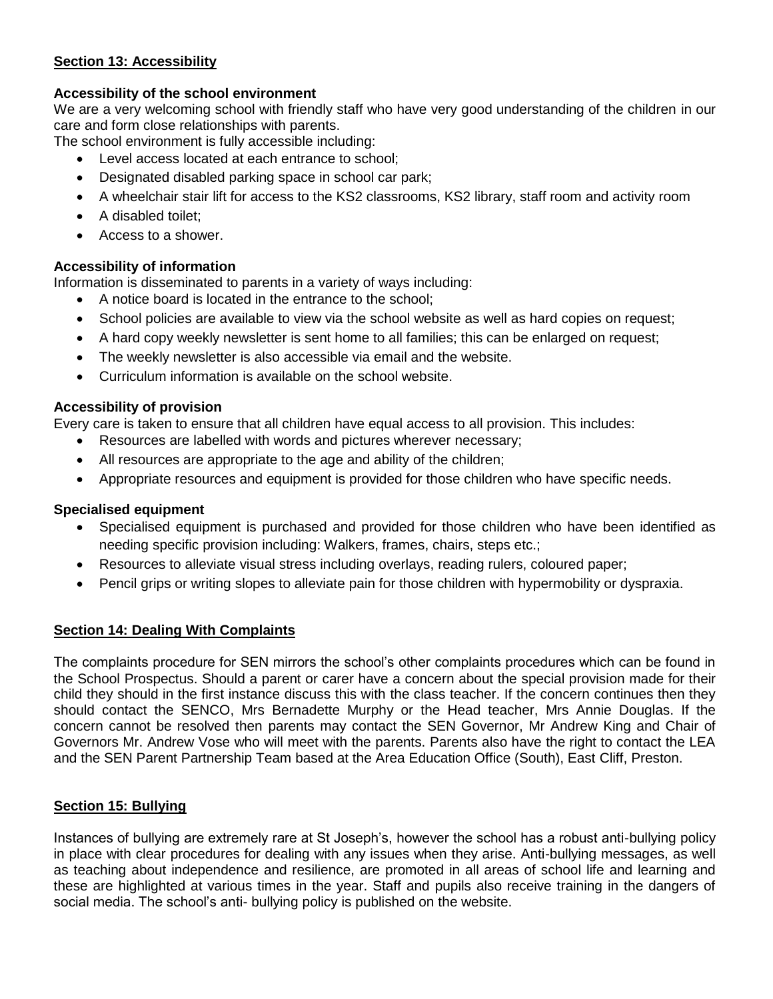## **Section 13: Accessibility**

## **Accessibility of the school environment**

We are a very welcoming school with friendly staff who have very good understanding of the children in our care and form close relationships with parents.

The school environment is fully accessible including:

- Level access located at each entrance to school;
- Designated disabled parking space in school car park;
- A wheelchair stair lift for access to the KS2 classrooms, KS2 library, staff room and activity room
- A disabled toilet;
- Access to a shower.

## **Accessibility of information**

Information is disseminated to parents in a variety of ways including:

- A notice board is located in the entrance to the school;
- School policies are available to view via the school website as well as hard copies on request;
- A hard copy weekly newsletter is sent home to all families; this can be enlarged on request;
- The weekly newsletter is also accessible via email and the website.
- Curriculum information is available on the school website.

#### **Accessibility of provision**

Every care is taken to ensure that all children have equal access to all provision. This includes:

- Resources are labelled with words and pictures wherever necessary;
- All resources are appropriate to the age and ability of the children;
- Appropriate resources and equipment is provided for those children who have specific needs.

#### **Specialised equipment**

- Specialised equipment is purchased and provided for those children who have been identified as needing specific provision including: Walkers, frames, chairs, steps etc.;
- Resources to alleviate visual stress including overlays, reading rulers, coloured paper;
- Pencil grips or writing slopes to alleviate pain for those children with hypermobility or dyspraxia.

## **Section 14: Dealing With Complaints**

The complaints procedure for SEN mirrors the school's other complaints procedures which can be found in the School Prospectus. Should a parent or carer have a concern about the special provision made for their child they should in the first instance discuss this with the class teacher. If the concern continues then they should contact the SENCO, Mrs Bernadette Murphy or the Head teacher, Mrs Annie Douglas. If the concern cannot be resolved then parents may contact the SEN Governor, Mr Andrew King and Chair of Governors Mr. Andrew Vose who will meet with the parents. Parents also have the right to contact the LEA and the SEN Parent Partnership Team based at the Area Education Office (South), East Cliff, Preston.

## **Section 15: Bullying**

Instances of bullying are extremely rare at St Joseph's, however the school has a robust anti-bullying policy in place with clear procedures for dealing with any issues when they arise. Anti-bullying messages, as well as teaching about independence and resilience, are promoted in all areas of school life and learning and these are highlighted at various times in the year. Staff and pupils also receive training in the dangers of social media. The school's anti- bullying policy is published on the website.